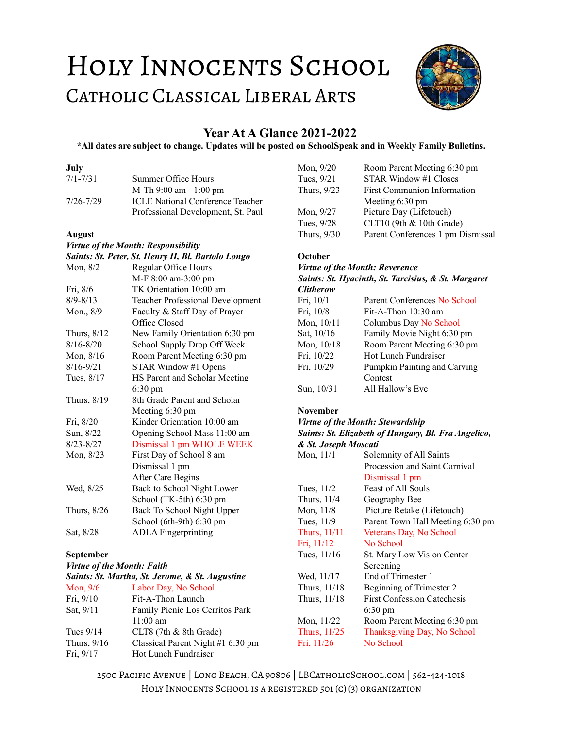# HOLY INNOCENTS SCHOOL CATHOLIC CLASSICAL LIBERAL ARTS



# **Year At A Glance 2021-2022**

#### **\*All dates are subject to change. Updates will be posted on SchoolSpeak and in Weekly Family Bulletins.**

# **July**

| $7/1 - 7/31$  | Summer Office Hours                     |
|---------------|-----------------------------------------|
|               | M-Th 9:00 am - 1:00 pm                  |
| $7/26 - 7/29$ | <b>ICLE National Conference Teacher</b> |
|               | Professional Development, St. Paul      |

#### **August**

## *Virtue of the Month: Responsibility*

|               | Saints: St. Peter, St. Henry II, Bl. Bartolo Longo |
|---------------|----------------------------------------------------|
| Mon, $8/2$    | <b>Regular Office Hours</b>                        |
|               | M-F 8:00 am-3:00 pm                                |
| Fri, 8/6      | TK Orientation 10:00 am                            |
| $8/9 - 8/13$  | <b>Teacher Professional Development</b>            |
| Mon., 8/9     | Faculty & Staff Day of Prayer                      |
|               | Office Closed                                      |
| Thurs, 8/12   | New Family Orientation 6:30 pm                     |
| $8/16 - 8/20$ | School Supply Drop Off Week                        |
| Mon, $8/16$   | Room Parent Meeting 6:30 pm                        |
| $8/16 - 9/21$ | STAR Window #1 Opens                               |
| Tues, 8/17    | HS Parent and Scholar Meeting                      |
|               | $6:30 \text{ pm}$                                  |
| Thurs, 8/19   | 8th Grade Parent and Scholar                       |
|               | Meeting 6:30 pm                                    |
| Fri, 8/20     | Kinder Orientation 10:00 am                        |
| Sun, 8/22     | Opening School Mass 11:00 am                       |
| $8/23 - 8/27$ | Dismissal 1 pm WHOLE WEEK                          |
| Mon, 8/23     | First Day of School 8 am                           |
|               | Dismissal 1 pm                                     |
|               | After Care Begins                                  |
| Wed, 8/25     | Back to School Night Lower                         |
|               | School (TK-5th) 6:30 pm                            |
| Thurs, 8/26   | Back To School Night Upper                         |
|               | School (6th-9th) 6:30 pm                           |
| Sat, 8/28     | <b>ADLA</b> Fingerprinting                         |
|               |                                                    |

# **September**

# *Virtue of the Month: Faith*

| Saints: St. Martha, St. Jerome, & St. Augustine |                                   |  |
|-------------------------------------------------|-----------------------------------|--|
| Mon, $9/6$                                      | Labor Day, No School              |  |
| Fri, 9/10                                       | Fit-A-Thon Launch                 |  |
| Sat, 9/11                                       | Family Picnic Los Cerritos Park   |  |
|                                                 | $11:00$ am                        |  |
| Tues $9/14$                                     | CLT8 $(7th & 8th$ Grade)          |  |
| Thurs, $9/16$                                   | Classical Parent Night #1 6:30 pm |  |
| Fri, $9/17$                                     | Hot Lunch Fundraiser              |  |

| Mon, 9/20   | Room Parent Meeting 6:30 pm        |
|-------------|------------------------------------|
| Tues, 9/21  | STAR Window #1 Closes              |
| Thurs, 9/23 | <b>First Communion Information</b> |
|             | Meeting 6:30 pm                    |
| Mon, $9/27$ | Picture Day (Lifetouch)            |
| Tues, 9/28  | CLT10 (9th & 10th Grade)           |
| Thurs, 9/30 | Parent Conferences 1 pm Dismissal  |
|             |                                    |

# **October**

#### *Virtue of the Month: Reverence Saints: St. Hyacinth, St. Tarcisius, & St. Margaret Clitherow*

| Cuunerow   |                              |
|------------|------------------------------|
| Fri, 10/1  | Parent Conferences No School |
| Fri, 10/8  | Fit-A-Thon $10:30$ am        |
| Mon, 10/11 | Columbus Day No School       |
| Sat, 10/16 | Family Movie Night 6:30 pm   |
| Mon, 10/18 | Room Parent Meeting 6:30 pm  |
| Fri, 10/22 | Hot Lunch Fundraiser         |
| Fri, 10/29 | Pumpkin Painting and Carving |
|            | Contest                      |
| Sun, 10/31 | All Hallow's Eve             |
|            |                              |

# **November**

# *Virtue of the Month: Stewardship*

#### *Saints: St. Elizabeth of Hungary, Bl. Fra Angelico, & St. Joseph Moscati*

| Solemnity of All Saints            |
|------------------------------------|
| Procession and Saint Carnival      |
| Dismissal 1 pm                     |
| <b>Feast of All Souls</b>          |
| Geography Bee                      |
| Picture Retake (Lifetouch)         |
| Parent Town Hall Meeting 6:30 pm   |
| Veterans Day, No School            |
| No School                          |
| St. Mary Low Vision Center         |
| Screening                          |
| End of Trimester 1                 |
| Beginning of Trimester 2           |
| <b>First Confession Catechesis</b> |
| $6:30 \text{ pm}$                  |
| Room Parent Meeting 6:30 pm        |
| Thanksgiving Day, No School        |
| No School                          |
|                                    |

2500 Pacific Avenue | Long Beach, CA 90806 | LBCatholicSchool.com | 562-424-1018 Holy Innocents School is a registered 501 (c) (3) organization